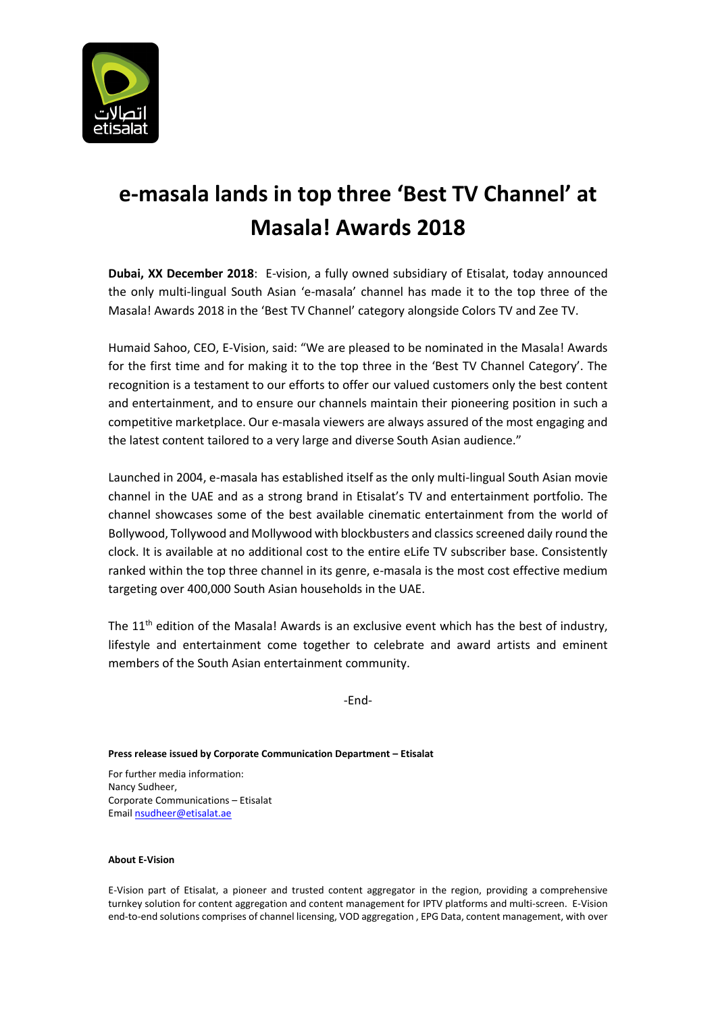

## **e-masala lands in top three 'Best TV Channel' at Masala! Awards 2018**

**Dubai, XX December 2018**: E-vision, a fully owned subsidiary of Etisalat, today announced the only multi-lingual South Asian 'e-masala' channel has made it to the top three of the Masala! Awards 2018 in the 'Best TV Channel' category alongside Colors TV and Zee TV.

Humaid Sahoo, CEO, E-Vision, said: "We are pleased to be nominated in the Masala! Awards for the first time and for making it to the top three in the 'Best TV Channel Category'. The recognition is a testament to our efforts to offer our valued customers only the best content and entertainment, and to ensure our channels maintain their pioneering position in such a competitive marketplace. Our e-masala viewers are always assured of the most engaging and the latest content tailored to a very large and diverse South Asian audience."

Launched in 2004, e-masala has established itself as the only multi-lingual South Asian movie channel in the UAE and as a strong brand in Etisalat's TV and entertainment portfolio. The channel showcases some of the best available cinematic entertainment from the world of Bollywood, Tollywood and Mollywood with blockbusters and classics screened daily round the clock. It is available at no additional cost to the entire eLife TV subscriber base. Consistently ranked within the top three channel in its genre, e-masala is the most cost effective medium targeting over 400,000 South Asian households in the UAE.

The  $11<sup>th</sup>$  edition of the Masala! Awards is an exclusive event which has the best of industry, lifestyle and entertainment come together to celebrate and award artists and eminent members of the South Asian entertainment community.

-End-

## **Press release issued by Corporate Communication Department – Etisalat**

For further media information: Nancy Sudheer, Corporate Communications – Etisalat Emai[l nsudheer@etisalat.ae](mailto:nsudheer@etisalat.ae)

## **About E-Vision**

E-Vision part of Etisalat, a pioneer and trusted content aggregator in the region, providing a comprehensive turnkey solution for content aggregation and content management for IPTV platforms and multi-screen. E-Vision end-to-end solutions comprises of channel licensing, VOD aggregation , EPG Data, content management, with over